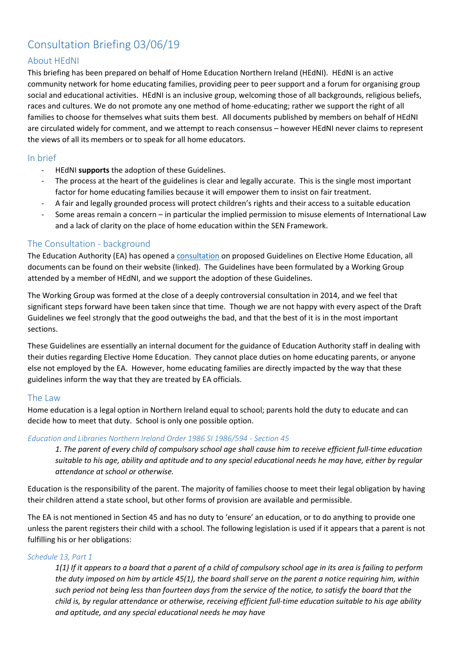# Consultation Briefing 03/06/19

# About HEdNI

This briefing has been prepared on behalf of Home Education Northern Ireland (HEdNI). HEdNI is an active community network for home educating families, providing peer to peer support and a forum for organising group social and educational activities. HEdNI is an inclusive group, welcoming those of all backgrounds, religious beliefs, races and cultures. We do not promote any one method of home-educating; rather we support the right of all families to choose for themselves what suits them best. All documents published by members on behalf of HEdNI are circulated widely for comment, and we attempt to reach consensus – however HEdNI never claims to represent the views of all its members or to speak for all home educators.

# In brief

- HEdNI **supports** the adoption of these Guidelines.
- The process at the heart of the guidelines is clear and legally accurate. This is the single most important factor for home educating families because it will empower them to insist on fair treatment.
- A fair and legally grounded process will protect children's rights and their access to a suitable education
- Some areas remain a concern in particular the implied permission to misuse elements of International Law and a lack of clarity on the place of home education within the SEN Framework.

## The Consultation - background

The Education Authority (EA) has opened a [consultation](https://www.eani.org.uk/publications/consultations/public-consultation-elective-home-education) on proposed Guidelines on Elective Home Education, all documents can be found on their website (linked). The Guidelines have been formulated by a Working Group attended by a member of HEdNI, and we support the adoption of these Guidelines.

The Working Group was formed at the close of a deeply controversial consultation in 2014, and we feel that significant steps forward have been taken since that time. Though we are not happy with every aspect of the Draft Guidelines we feel strongly that the good outweighs the bad, and that the best of it is in the most important sections.

These Guidelines are essentially an internal document for the guidance of Education Authority staff in dealing with their duties regarding Elective Home Education. They cannot place duties on home educating parents, or anyone else not employed by the EA. However, home educating families are directly impacted by the way that these guidelines inform the way that they are treated by EA officials.

## The Law

Home education is a legal option in Northern Ireland equal to school; parents hold the duty to educate and can decide how to meet that duty. School is only one possible option.

## *Education and Libraries Northern Ireland Order 1986 SI 1986/594 - Section 45*

*1. The parent of every child of compulsory school age shall cause him to receive efficient full-time education suitable to his age, ability and aptitude and to any special educational needs he may have, either by regular attendance at school or otherwise.*

Education is the responsibility of the parent. The majority of families choose to meet their legal obligation by having their children attend a state school, but other forms of provision are available and permissible.

The EA is not mentioned in Section 45 and has no duty to 'ensure' an education, or to do anything to provide one unless the parent registers their child with a school. The following legislation is used if it appears that a parent is not fulfilling his or her obligations:

## *Schedule 13, Part 1*

*1(1) If it appears to a board that a parent of a child of compulsory school age in its area is failing to perform the duty imposed on him by article 45(1), the board shall serve on the parent a notice requiring him, within such period not being less than fourteen days from the service of the notice, to satisfy the board that the child is, by regular attendance or otherwise, receiving efficient full-time education suitable to his age ability and aptitude, and any special educational needs he may have*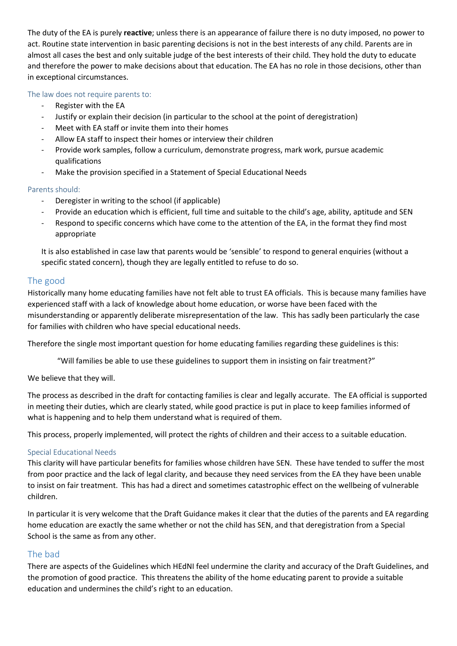The duty of the EA is purely **reactive**; unless there is an appearance of failure there is no duty imposed, no power to act. Routine state intervention in basic parenting decisions is not in the best interests of any child. Parents are in almost all cases the best and only suitable judge of the best interests of their child. They hold the duty to educate and therefore the power to make decisions about that education. The EA has no role in those decisions, other than in exceptional circumstances.

The law does not require parents to:

- Register with the EA
- Justify or explain their decision (in particular to the school at the point of deregistration)
- Meet with EA staff or invite them into their homes
- Allow EA staff to inspect their homes or interview their children
- Provide work samples, follow a curriculum, demonstrate progress, mark work, pursue academic qualifications
- Make the provision specified in a Statement of Special Educational Needs

## Parents should:

- Deregister in writing to the school (if applicable)
- Provide an education which is efficient, full time and suitable to the child's age, ability, aptitude and SEN
- Respond to specific concerns which have come to the attention of the EA, in the format they find most appropriate

It is also established in case law that parents would be 'sensible' to respond to general enquiries (without a specific stated concern), though they are legally entitled to refuse to do so.

## The good

Historically many home educating families have not felt able to trust EA officials. This is because many families have experienced staff with a lack of knowledge about home education, or worse have been faced with the misunderstanding or apparently deliberate misrepresentation of the law. This has sadly been particularly the case for families with children who have special educational needs.

Therefore the single most important question for home educating families regarding these guidelines is this:

"Will families be able to use these guidelines to support them in insisting on fair treatment?"

We believe that they will.

The process as described in the draft for contacting families is clear and legally accurate. The EA official is supported in meeting their duties, which are clearly stated, while good practice is put in place to keep families informed of what is happening and to help them understand what is required of them.

This process, properly implemented, will protect the rights of children and their access to a suitable education.

#### Special Educational Needs

This clarity will have particular benefits for families whose children have SEN. These have tended to suffer the most from poor practice and the lack of legal clarity, and because they need services from the EA they have been unable to insist on fair treatment. This has had a direct and sometimes catastrophic effect on the wellbeing of vulnerable children.

In particular it is very welcome that the Draft Guidance makes it clear that the duties of the parents and EA regarding home education are exactly the same whether or not the child has SEN, and that deregistration from a Special School is the same as from any other.

## The bad

There are aspects of the Guidelines which HEdNI feel undermine the clarity and accuracy of the Draft Guidelines, and the promotion of good practice. This threatens the ability of the home educating parent to provide a suitable education and undermines the child's right to an education.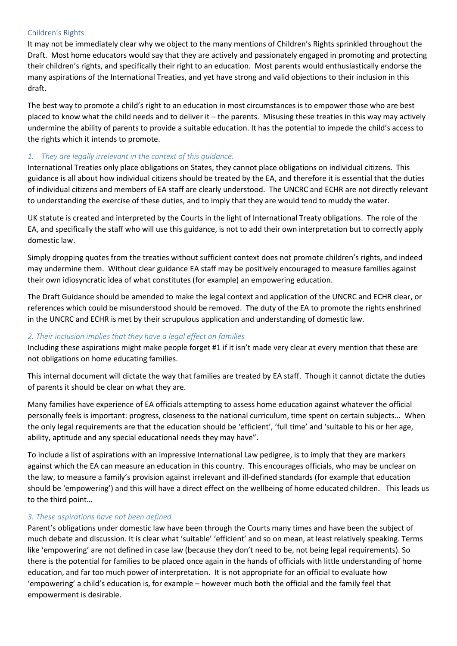#### Children's Rights

It may not be immediately clear why we object to the many mentions of Children's Rights sprinkled throughout the Draft. Most home educators would say that they are actively and passionately engaged in promoting and protecting their children's rights, and specifically their right to an education. Most parents would enthusiastically endorse the many aspirations of the International Treaties, and yet have strong and valid objections to their inclusion in this draft.

The best way to promote a child's right to an education in most circumstances is to empower those who are best placed to know what the child needs and to deliver it – the parents. Misusing these treaties in this way may actively undermine the ability of parents to provide a suitable education. It has the potential to impede the child's access to the rights which it intends to promote.

## *1. They are legally irrelevant in the context of this guidance.*

International Treaties only place obligations on States, they cannot place obligations on individual citizens. This guidance is all about how individual citizens should be treated by the EA, and therefore it is essential that the duties of individual citizens and members of EA staff are clearly understood. The UNCRC and ECHR are not directly relevant to understanding the exercise of these duties, and to imply that they are would tend to muddy the water.

UK statute is created and interpreted by the Courts in the light of International Treaty obligations. The role of the EA, and specifically the staff who will use this guidance, is not to add their own interpretation but to correctly apply domestic law.

Simply dropping quotes from the treaties without sufficient context does not promote children's rights, and indeed may undermine them. Without clear guidance EA staff may be positively encouraged to measure families against their own idiosyncratic idea of what constitutes (for example) an empowering education.

The Draft Guidance should be amended to make the legal context and application of the UNCRC and ECHR clear, or references which could be misunderstood should be removed. The duty of the EA to promote the rights enshrined in the UNCRC and ECHR is met by their scrupulous application and understanding of domestic law.

## *2. Their inclusion implies that they have a legal effect on families*

Including these aspirations might make people forget #1 if it isn't made very clear at every mention that these are not obligations on home educating families.

This internal document will dictate the way that families are treated by EA staff. Though it cannot dictate the duties of parents it should be clear on what they are.

Many families have experience of EA officials attempting to assess home education against whatever the official personally feels is important: progress, closeness to the national curriculum, time spent on certain subjects... When the only legal requirements are that the education should be 'efficient', 'full time' and 'suitable to his or her age, ability, aptitude and any special educational needs they may have".

To include a list of aspirations with an impressive International Law pedigree, is to imply that they are markers against which the EA can measure an education in this country. This encourages officials, who may be unclear on the law, to measure a family's provision against irrelevant and ill-defined standards (for example that education should be 'empowering') and this will have a direct effect on the wellbeing of home educated children. This leads us to the third point…

## *3. These aspirations have not been defined.*

Parent's obligations under domestic law have been through the Courts many times and have been the subject of much debate and discussion. It is clear what 'suitable' 'efficient' and so on mean, at least relatively speaking. Terms like 'empowering' are not defined in case law (because they don't need to be, not being legal requirements). So there is the potential for families to be placed once again in the hands of officials with little understanding of home education, and far too much power of interpretation. It is not appropriate for an official to evaluate how 'empowering' a child's education is, for example – however much both the official and the family feel that empowerment is desirable.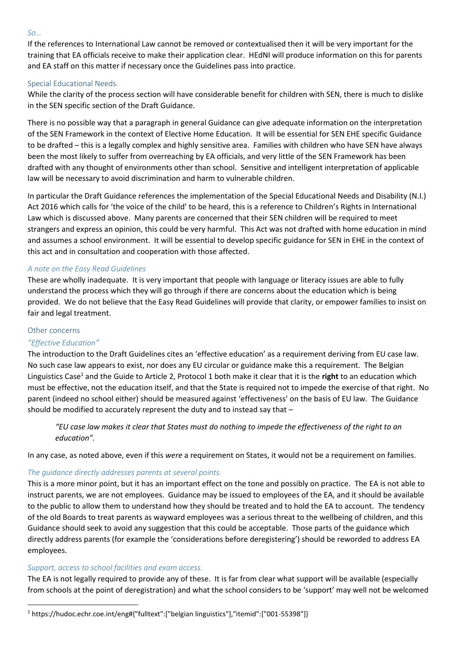#### *So…*

If the references to International Law cannot be removed or contextualised then it will be very important for the training that EA officials receive to make their application clear. HEdNI will produce information on this for parents and EA staff on this matter if necessary once the Guidelines pass into practice.

## Special Educational Needs.

While the clarity of the process section will have considerable benefit for children with SEN, there is much to dislike in the SEN specific section of the Draft Guidance.

There is no possible way that a paragraph in general Guidance can give adequate information on the interpretation of the SEN Framework in the context of Elective Home Education. It will be essential for SEN EHE specific Guidance to be drafted – this is a legally complex and highly sensitive area. Families with children who have SEN have always been the most likely to suffer from overreaching by EA officials, and very little of the SEN Framework has been drafted with any thought of environments other than school. Sensitive and intelligent interpretation of applicable law will be necessary to avoid discrimination and harm to vulnerable children.

In particular the Draft Guidance references the implementation of the Special Educational Needs and Disability (N.I.) Act 2016 which calls for 'the voice of the child' to be heard, this is a reference to Children's Rights in International Law which is discussed above. Many parents are concerned that their SEN children will be required to meet strangers and express an opinion, this could be very harmful. This Act was not drafted with home education in mind and assumes a school environment. It will be essential to develop specific guidance for SEN in EHE in the context of this act and in consultation and cooperation with those affected.

## *A note on the Easy Read Guidelines*

These are wholly inadequate. It is very important that people with language or literacy issues are able to fully understand the process which they will go through if there are concerns about the education which is being provided. We do not believe that the Easy Read Guidelines will provide that clarity, or empower families to insist on fair and legal treatment.

#### Other concerns

## *"Effective Education"*

The introduction to the Draft Guidelines cites an 'effective education' as a requirement deriving from EU case law. No such case law appears to exist, nor does any EU circular or guidance make this a requirement. The Belgian Linguistics Case<sup>1</sup> and the Guide to Article 2, Protocol 1 both make it clear that it is the **right** to an education which must be effective, not the education itself, and that the State is required not to impede the exercise of that right. No parent (indeed no school either) should be measured against 'effectiveness' on the basis of EU law. The Guidance should be modified to accurately represent the duty and to instead say that –

*"EU case law makes it clear that States must do nothing to impede the effectiveness of the right to an education".*

In any case, as noted above, even if this *were* a requirement on States, it would not be a requirement on families.

## *The guidance directly addresses parents at several points.*

This is a more minor point, but it has an important effect on the tone and possibly on practice. The EA is not able to instruct parents, we are not employees. Guidance may be issued to employees of the EA, and it should be available to the public to allow them to understand how they should be treated and to hold the EA to account. The tendency of the old Boards to treat parents as wayward employees was a serious threat to the wellbeing of children, and this Guidance should seek to avoid any suggestion that this could be acceptable. Those parts of the guidance which directly address parents (for example the 'considerations before deregistering') should be reworded to address EA employees.

## *Support, access to school facilities and exam access.*

The EA is not legally required to provide any of these. It is far from clear what support will be available (especially from schools at the point of deregistration) and what the school considers to be 'support' may well not be welcomed

**<sup>.</sup>** <sup>1</sup> https://hudoc.echr.coe.int/eng#{"fulltext":["belgian linguistics"],"itemid":["001-55398"]}